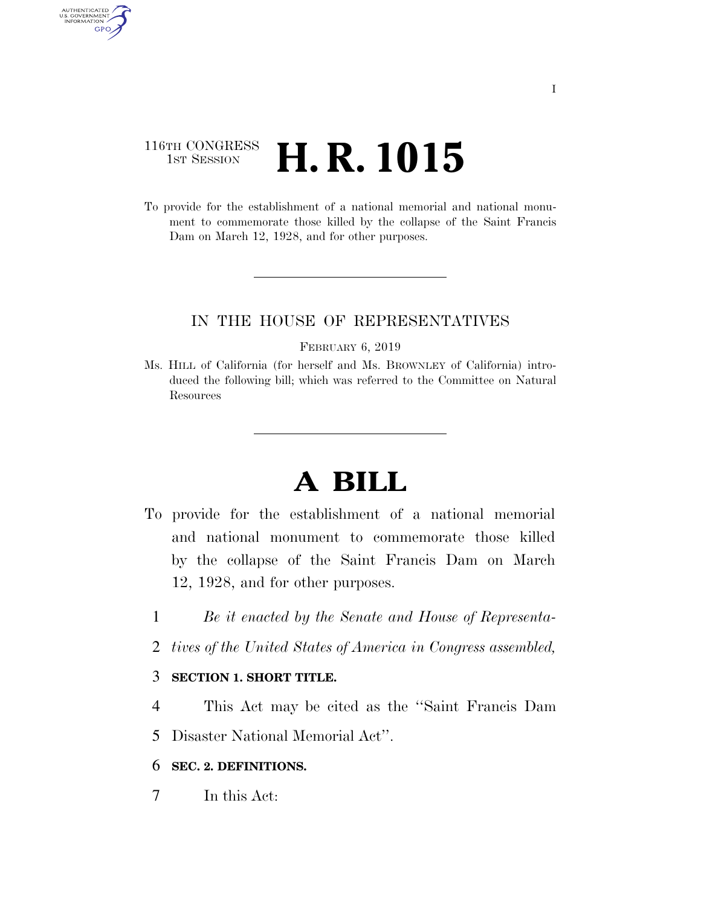## 116TH CONGRESS **1st Session H. R. 1015**

AUTHENTICATED<br>U.S. GOVERNMENT<br>INFORMATION GPO

> To provide for the establishment of a national memorial and national monument to commemorate those killed by the collapse of the Saint Francis Dam on March 12, 1928, and for other purposes.

#### IN THE HOUSE OF REPRESENTATIVES

#### FEBRUARY 6, 2019

Ms. HILL of California (for herself and Ms. BROWNLEY of California) introduced the following bill; which was referred to the Committee on Natural Resources

# **A BILL**

- To provide for the establishment of a national memorial and national monument to commemorate those killed by the collapse of the Saint Francis Dam on March 12, 1928, and for other purposes.
	- 1 *Be it enacted by the Senate and House of Representa-*
	- 2 *tives of the United States of America in Congress assembled,*

#### 3 **SECTION 1. SHORT TITLE.**

- 4 This Act may be cited as the ''Saint Francis Dam
- 5 Disaster National Memorial Act''.

#### 6 **SEC. 2. DEFINITIONS.**

7 In this Act: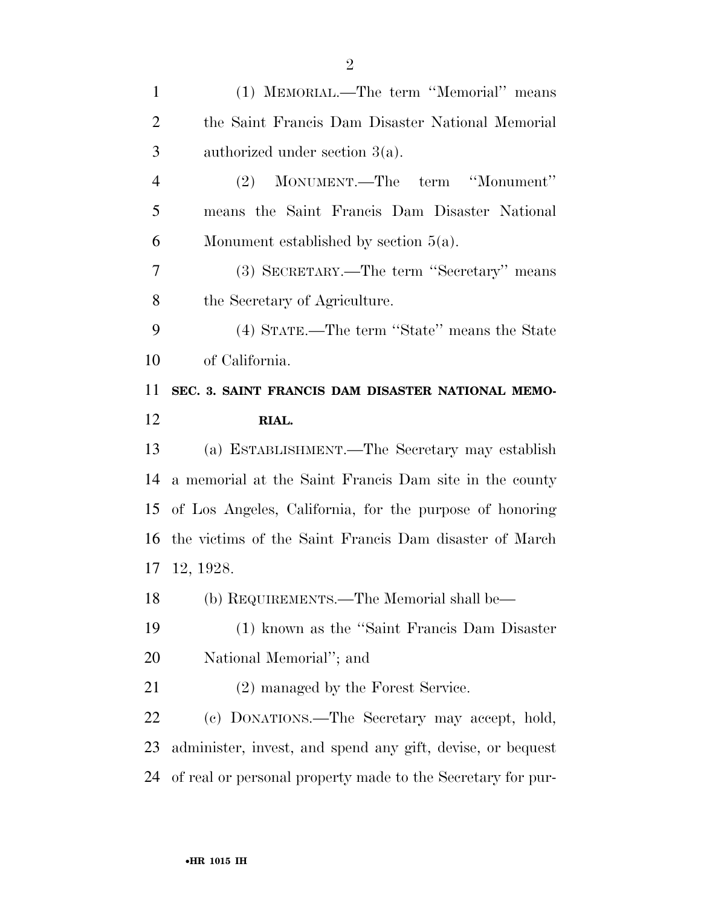(1) MEMORIAL.—The term ''Memorial'' means the Saint Francis Dam Disaster National Memorial authorized under section 3(a). (2) MONUMENT.—The term ''Monument'' means the Saint Francis Dam Disaster National 6 Monument established by section  $5(a)$ . (3) SECRETARY.—The term ''Secretary'' means the Secretary of Agriculture. (4) STATE.—The term ''State'' means the State of California. **SEC. 3. SAINT FRANCIS DAM DISASTER NATIONAL MEMO- RIAL.**  (a) ESTABLISHMENT.—The Secretary may establish a memorial at the Saint Francis Dam site in the county of Los Angeles, California, for the purpose of honoring the victims of the Saint Francis Dam disaster of March 12, 1928. (b) REQUIREMENTS.—The Memorial shall be— (1) known as the ''Saint Francis Dam Disaster National Memorial''; and 21 (2) managed by the Forest Service. (c) DONATIONS.—The Secretary may accept, hold, administer, invest, and spend any gift, devise, or bequest

of real or personal property made to the Secretary for pur-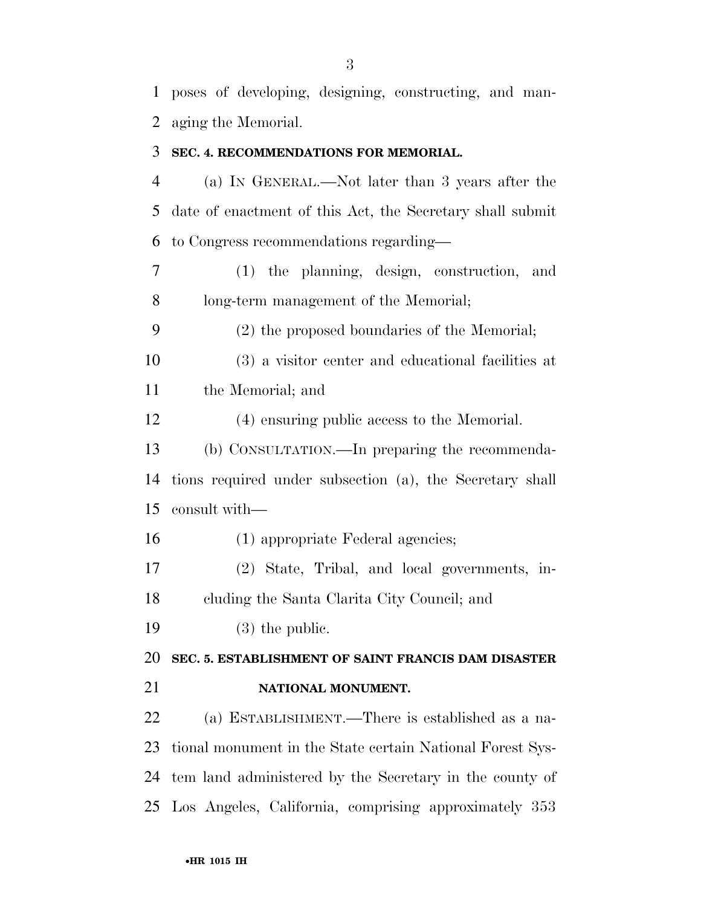poses of developing, designing, constructing, and man-aging the Memorial.

#### **SEC. 4. RECOMMENDATIONS FOR MEMORIAL.**

 (a) IN GENERAL.—Not later than 3 years after the date of enactment of this Act, the Secretary shall submit to Congress recommendations regarding—

 (1) the planning, design, construction, and long-term management of the Memorial;

(2) the proposed boundaries of the Memorial;

 (3) a visitor center and educational facilities at the Memorial; and

(4) ensuring public access to the Memorial.

 (b) CONSULTATION.—In preparing the recommenda- tions required under subsection (a), the Secretary shall consult with—

(1) appropriate Federal agencies;

 (2) State, Tribal, and local governments, in-cluding the Santa Clarita City Council; and

(3) the public.

**SEC. 5. ESTABLISHMENT OF SAINT FRANCIS DAM DISASTER** 

### **NATIONAL MONUMENT.**

 (a) ESTABLISHMENT.—There is established as a na- tional monument in the State certain National Forest Sys- tem land administered by the Secretary in the county of Los Angeles, California, comprising approximately 353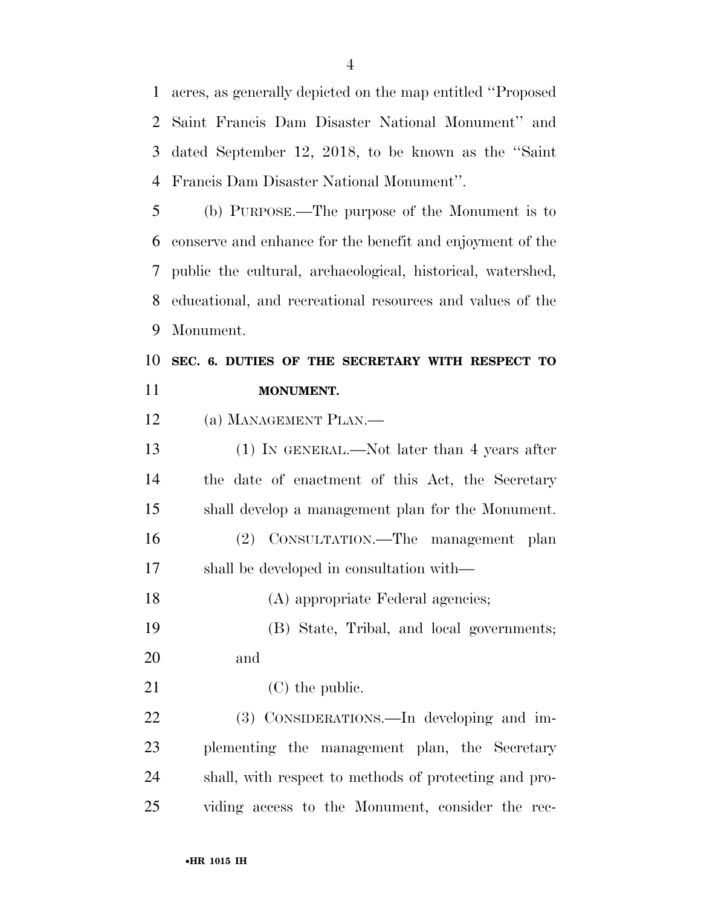acres, as generally depicted on the map entitled ''Proposed Saint Francis Dam Disaster National Monument'' and dated September 12, 2018, to be known as the ''Saint Francis Dam Disaster National Monument''.

 (b) PURPOSE.—The purpose of the Monument is to conserve and enhance for the benefit and enjoyment of the public the cultural, archaeological, historical, watershed, educational, and recreational resources and values of the Monument.

## **SEC. 6. DUTIES OF THE SECRETARY WITH RESPECT TO MONUMENT.**

(a) MANAGEMENT PLAN.—

 (1) IN GENERAL.—Not later than 4 years after the date of enactment of this Act, the Secretary shall develop a management plan for the Monument. (2) CONSULTATION.—The management plan shall be developed in consultation with—

18 (A) appropriate Federal agencies;

 (B) State, Tribal, and local governments; and

21 (C) the public.

 (3) CONSIDERATIONS.—In developing and im- plementing the management plan, the Secretary shall, with respect to methods of protecting and pro-viding access to the Monument, consider the rec-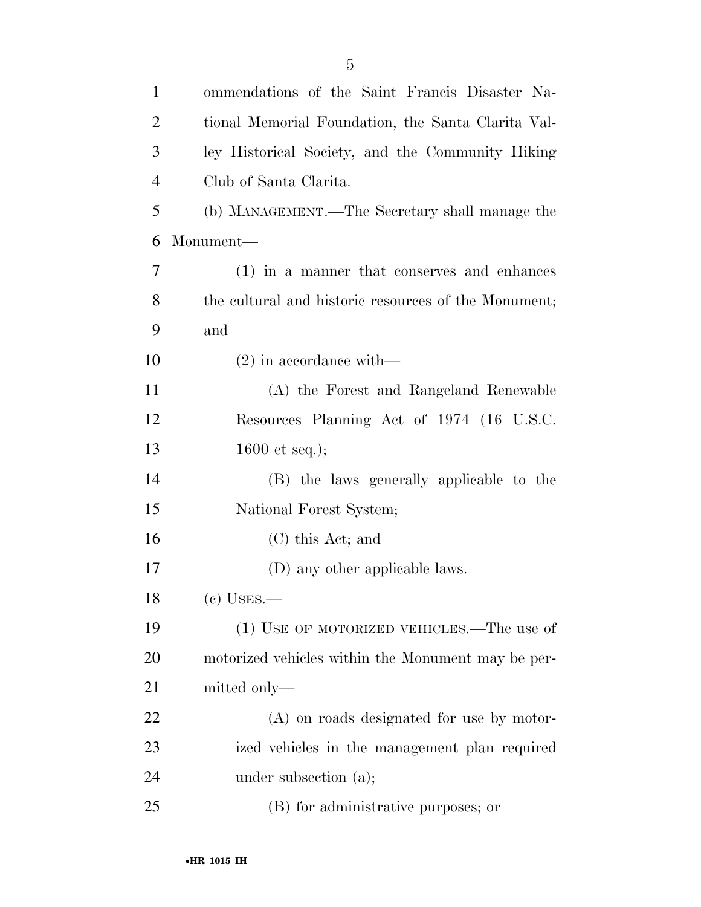| $\mathbf{1}$   | ommendations of the Saint Francis Disaster Na-       |
|----------------|------------------------------------------------------|
| $\overline{2}$ | tional Memorial Foundation, the Santa Clarita Val-   |
| 3              | ley Historical Society, and the Community Hiking     |
| $\overline{4}$ | Club of Santa Clarita.                               |
| 5              | (b) MANAGEMENT.—The Secretary shall manage the       |
| 6              | Monument—                                            |
| 7              | $(1)$ in a manner that conserves and enhances        |
| 8              | the cultural and historic resources of the Monument; |
| 9              | and                                                  |
| 10             | $(2)$ in accordance with—                            |
| 11             | (A) the Forest and Rangeland Renewable               |
| 12             | Resources Planning Act of 1974 (16 U.S.C.            |
| 13             | 1600 et seq.);                                       |
| 14             | (B) the laws generally applicable to the             |
| 15             | National Forest System;                              |
| 16             | $(C)$ this Act; and                                  |
| 17             | (D) any other applicable laws.                       |
| 18             | $(e)$ USES.—                                         |
| 19             | (1) USE OF MOTORIZED VEHICLES.—The use of            |
| 20             | motorized vehicles within the Monument may be per-   |
| 21             | mitted only—                                         |
| 22             | (A) on roads designated for use by motor-            |
| 23             | ized vehicles in the management plan required        |
| 24             | under subsection (a);                                |
| 25             | (B) for administrative purposes; or                  |